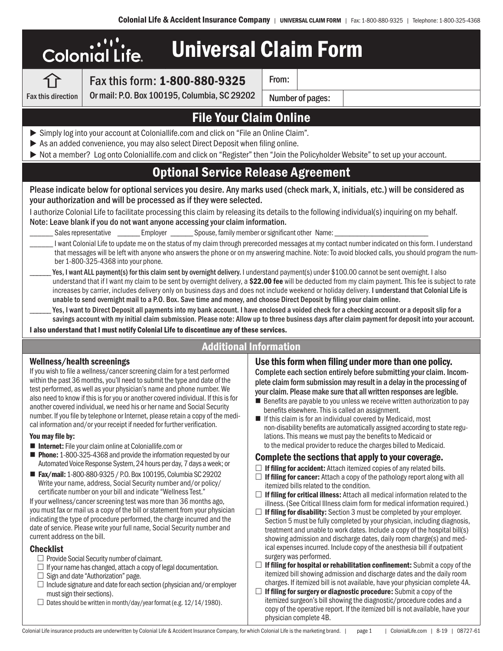|                                   | <b>Colonial Life</b>                                                                                                                                    | <b>Universal Claim Form</b>                                                                                                                         |       |                  |                                                                                                                                                                                                                                                                                                                                                                                                                                                               |
|-----------------------------------|---------------------------------------------------------------------------------------------------------------------------------------------------------|-----------------------------------------------------------------------------------------------------------------------------------------------------|-------|------------------|---------------------------------------------------------------------------------------------------------------------------------------------------------------------------------------------------------------------------------------------------------------------------------------------------------------------------------------------------------------------------------------------------------------------------------------------------------------|
|                                   |                                                                                                                                                         | Fax this form: 1-800-880-9325                                                                                                                       | From: |                  |                                                                                                                                                                                                                                                                                                                                                                                                                                                               |
| <b>Fax this direction</b>         |                                                                                                                                                         | Or mail: P.O. Box 100195, Columbia, SC 29202                                                                                                        |       | Number of pages: |                                                                                                                                                                                                                                                                                                                                                                                                                                                               |
|                                   |                                                                                                                                                         | <b>File Your Claim Online</b>                                                                                                                       |       |                  |                                                                                                                                                                                                                                                                                                                                                                                                                                                               |
|                                   |                                                                                                                                                         | Simply log into your account at Coloniallife.com and click on "File an Online Claim".                                                               |       |                  |                                                                                                                                                                                                                                                                                                                                                                                                                                                               |
|                                   |                                                                                                                                                         | As an added convenience, you may also select Direct Deposit when filing online.                                                                     |       |                  | ▶ Not a member? Log onto Coloniallife.com and click on "Register" then "Join the Policyholder Website" to set up your account.                                                                                                                                                                                                                                                                                                                                |
|                                   |                                                                                                                                                         | <b>Optional Service Release Agreement</b>                                                                                                           |       |                  |                                                                                                                                                                                                                                                                                                                                                                                                                                                               |
|                                   |                                                                                                                                                         | your authorization and will be processed as if they were selected.<br>Note: Leave blank if you do not want anyone accessing your claim information. |       |                  | Please indicate below for optional services you desire. Any marks used (check mark, X, initials, etc.) will be considered as<br>I authorize Colonial Life to facilitate processing this claim by releasing its details to the following individual(s) inquiring on my behalf.                                                                                                                                                                                 |
|                                   |                                                                                                                                                         | Sales representative _________ Employer ________ Spouse, family member or significant other Name:                                                   |       |                  |                                                                                                                                                                                                                                                                                                                                                                                                                                                               |
|                                   | ber 1-800-325-4368 into your phone.                                                                                                                     |                                                                                                                                                     |       |                  | I want Colonial Life to update me on the status of my claim through prerecorded messages at my contact number indicated on this form. I understand<br>that messages will be left with anyone who answers the phone or on my answering machine. Note: To avoid blocked calls, you should program the num-                                                                                                                                                      |
|                                   |                                                                                                                                                         | unable to send overnight mail to a P.O. Box. Save time and money, and choose Direct Deposit by filing your claim online.                            |       |                  | Yes, I want ALL payment(s) for this claim sent by overnight delivery. I understand payment(s) under \$100.00 cannot be sent overnight. I also<br>understand that if I want my claim to be sent by overnight delivery, a \$22.00 fee will be deducted from my claim payment. This fee is subject to rate<br>increases by carrier, includes delivery only on business days and does not include weekend or holiday delivery. I understand that Colonial Life is |
|                                   |                                                                                                                                                         |                                                                                                                                                     |       |                  | Yes, I want to Direct Deposit all payments into my bank account. I have enclosed a voided check for a checking account or a deposit slip for a<br>savings account with my initial claim submission. Please note: Allow up to three business days after claim payment for deposit into your account.                                                                                                                                                           |
|                                   |                                                                                                                                                         | I also understand that I must notify Colonial Life to discontinue any of these services.                                                            |       |                  |                                                                                                                                                                                                                                                                                                                                                                                                                                                               |
|                                   |                                                                                                                                                         | <b>Additional Information</b>                                                                                                                       |       |                  |                                                                                                                                                                                                                                                                                                                                                                                                                                                               |
| <b>Wellness/health screenings</b> | If you wish to file a wellness/cancer screening claim for a test performed<br>within the past 36 months, you'll need to submit the type and date of the |                                                                                                                                                     |       |                  | Use this form when filing under more than one policy.<br>Complete each section entirely before submitting your claim. Incom-<br>plete claim form submission may result in a delay in the processing of                                                                                                                                                                                                                                                        |

test performed, as well as your physician's name and phone number. We also need to know if this is for you or another covered individual. If this is for another covered individual, we need his or her name and Social Security number. If you file by telephone or Internet, please retain a copy of the medical information and/or your receipt if needed for further verification.

#### You may file by:

- Internet: File your claim online at Coloniallife.com or
- **Phone:** 1-800-325-4368 and provide the information requested by our Automated Voice Response System, 24 hours per day, 7 days a week; or
- Fax/mail: 1-800-880-9325 / P.O. Box 100195, Columbia SC 29202 Write your name, address, Social Security number and/or policy/ certificate number on your bill and indicate "Wellness Test."

If your wellness/cancer screening test was more than 36 months ago, you must fax or mail us a copy of the bill or statement from your physician indicating the type of procedure performed, the charge incurred and the date of service. Please write your full name, Social Security number and current address on the bill.

### **Checklist**

- $\square$  Provide Social Security number of claimant.
- $\Box$  If your name has changed, attach a copy of legal documentation.
- $\Box$  Sign and date "Authorization" page.
- $\Box$  Include signature and date for each section (physician and/or employer must sign their sections).
- $\Box$  Dates should be written in month/day/year format (e.g. 12/14/1980).

your claim. Please make sure that all written responses are legible.

- $\blacksquare$  Benefits are payable to you unless we receive written authorization to pay benefits elsewhere. This is called an assignment.
- If this claim is for an individual covered by Medicaid, most non-disability benefits are automatically assigned according to state regulations. This means we must pay the benefits to Medicaid or to the medical provider to reduce the charges billed to Medicaid.

### Complete the sections that apply to your coverage.

- $\Box$  If filing for accident: Attach itemized copies of any related bills.
- $\Box$  If filing for cancer: Attach a copy of the pathology report along with all itemized bills related to the condition.
- $\Box$  If filing for critical illness: Attach all medical information related to the illness. (See Critical Illness claim form for medical information required.)
- $\Box$  If filing for disability: Section 3 must be completed by your employer. Section 5 must be fully completed by your physician, including diagnosis, treatment and unable to work dates. Include a copy of the hospital bill(s) showing admission and discharge dates, daily room charge(s) and medical expenses incurred. Include copy of the anesthesia bill if outpatient surgery was performed.
- $\square$  If filing for hospital or rehabilitation confinement: Submit a copy of the itemized bill showing admission and discharge dates and the daily room charges. If itemized bill is not available, have your physician complete 4A.
- $\Box$  If filing for surgery or diagnostic procedure: Submit a copy of the itemized surgeon's bill showing the diagnostic/procedure codes and a copy of the operative report. If the itemized bill is not available, have your physician complete 4B.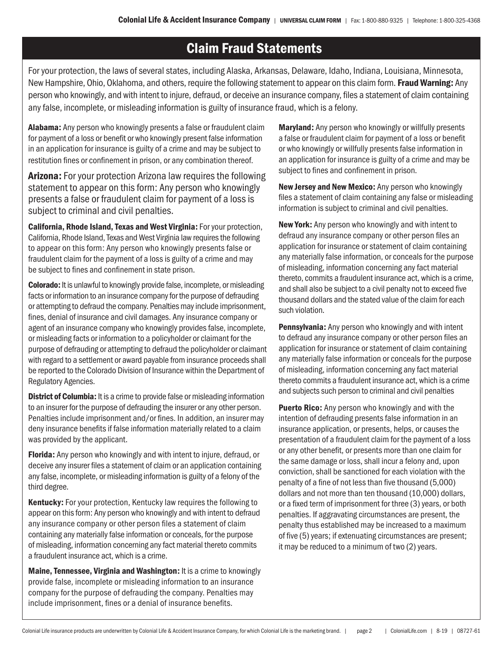# Claim Fraud Statements

For your protection, the laws of several states, including Alaska, Arkansas, Delaware, Idaho, Indiana, Louisiana, Minnesota, New Hampshire, Ohio, Oklahoma, and others, require the following statement to appear on this claim form. **Fraud Warning:** Any person who knowingly, and with intent to injure, defraud, or deceive an insurance company, files a statement of claim containing any false, incomplete, or misleading information is guilty of insurance fraud, which is a felony.

Alabama: Any person who knowingly presents a false or fraudulent claim for payment of a loss or benefit or who knowingly present false information in an application for insurance is guilty of a crime and may be subject to restitution fines or confinement in prison, or any combination thereof.

Arizona: For your protection Arizona law requires the following statement to appear on this form: Any person who knowingly presents a false or fraudulent claim for payment of a loss is subject to criminal and civil penalties.

California, Rhode Island, Texas and West Virginia: For your protection, California, Rhode Island, Texas and West Virginia law requires the following to appear on this form: Any person who knowingly presents false or fraudulent claim for the payment of a loss is guilty of a crime and may be subject to fines and confinement in state prison.

Colorado: It is unlawful to knowingly provide false, incomplete, or misleading facts or information to an insurance company for the purpose of defrauding or attempting to defraud the company. Penalties may include imprisonment, fines, denial of insurance and civil damages. Any insurance company or agent of an insurance company who knowingly provides false, incomplete, or misleading facts or information to a policyholder or claimant for the purpose of defrauding or attempting to defraud the policyholder or claimant with regard to a settlement or award payable from insurance proceeds shall be reported to the Colorado Division of Insurance within the Department of Regulatory Agencies.

**District of Columbia:** It is a crime to provide false or misleading information to an insurer for the purpose of defrauding the insurer or any other person. Penalties include imprisonment and/or fines. In addition, an insurer may deny insurance benefits if false information materially related to a claim was provided by the applicant.

Florida: Any person who knowingly and with intent to injure, defraud, or deceive any insurer files a statement of claim or an application containing any false, incomplete, or misleading information is guilty of a felony of the third degree.

Kentucky: For your protection, Kentucky law requires the following to appear on this form: Any person who knowingly and with intent to defraud any insurance company or other person files a statement of claim containing any materially false information or conceals, for the purpose of misleading, information concerning any fact material thereto commits a fraudulent insurance act, which is a crime.

Maine, Tennessee, Virginia and Washington: It is a crime to knowingly provide false, incomplete or misleading information to an insurance company for the purpose of defrauding the company. Penalties may include imprisonment, fines or a denial of insurance benefits.

Maryland: Any person who knowingly or willfully presents a false or fraudulent claim for payment of a loss or benefit or who knowingly or willfully presents false information in an application for insurance is guilty of a crime and may be subject to fines and confinement in prison.

New Jersey and New Mexico: Any person who knowingly files a statement of claim containing any false or misleading information is subject to criminal and civil penalties.

New York: Any person who knowingly and with intent to defraud any insurance company or other person files an application for insurance or statement of claim containing any materially false information, or conceals for the purpose of misleading, information concerning any fact material thereto, commits a fraudulent insurance act, which is a crime, and shall also be subject to a civil penalty not to exceed five thousand dollars and the stated value of the claim for each such violation.

Pennsylvania: Any person who knowingly and with intent to defraud any insurance company or other person files an application for insurance or statement of claim containing any materially false information or conceals for the purpose of misleading, information concerning any fact material thereto commits a fraudulent insurance act, which is a crime and subjects such person to criminal and civil penalties

**Puerto Rico:** Any person who knowingly and with the intention of defrauding presents false information in an insurance application, or presents, helps, or causes the presentation of a fraudulent claim for the payment of a loss or any other benefit, or presents more than one claim for the same damage or loss, shall incur a felony and, upon conviction, shall be sanctioned for each violation with the penalty of a fine of not less than five thousand (5,000) dollars and not more than ten thousand (10,000) dollars, or a fixed term of imprisonment for three (3) years, or both penalties. If aggravating circumstances are present, the penalty thus established may be increased to a maximum of five (5) years; if extenuating circumstances are present; it may be reduced to a minimum of two (2) years.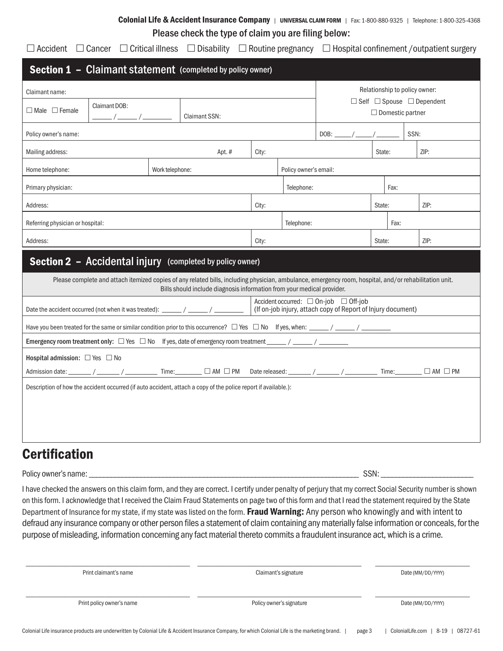## Colonial Life & Accident Insurance Company | UNIVERSAL CLAIM FORM | Fax: 1-800-880-9325 | Telephone: 1-800-325-4368 Please check the type of claim you are filing below:

 $\Box$  Accident  $\Box$  Cancer  $\Box$  Critical illness  $\Box$  Disability  $\Box$  Routine pregnancy  $\Box$  Hospital confinement /outpatient surgery

|                                                             |  |  | <b>Section 1 - Claimant statement</b> (completed by policy owner)                                                                                                                                                                |       |                |            |                                                                                                       |        |                               |                         |      |  |  |
|-------------------------------------------------------------|--|--|----------------------------------------------------------------------------------------------------------------------------------------------------------------------------------------------------------------------------------|-------|----------------|------------|-------------------------------------------------------------------------------------------------------|--------|-------------------------------|-------------------------|------|--|--|
| Claimant name:                                              |  |  |                                                                                                                                                                                                                                  |       |                |            |                                                                                                       |        | Relationship to policy owner: |                         |      |  |  |
| Claimant DOB:<br>$\Box$ Male $\Box$ Female                  |  |  |                                                                                                                                                                                                                                  |       |                |            | $\Box$ Self $\Box$ Spouse $\Box$ Dependent                                                            |        |                               |                         |      |  |  |
| <b>Claimant SSN:</b><br>$\frac{\frac{1}{2}}{2}$             |  |  |                                                                                                                                                                                                                                  |       |                |            |                                                                                                       |        |                               | $\Box$ Domestic partner |      |  |  |
| Policy owner's name:                                        |  |  |                                                                                                                                                                                                                                  |       |                |            | SSN:                                                                                                  |        |                               |                         |      |  |  |
| Mailing address:<br>Apt. #                                  |  |  | City:                                                                                                                                                                                                                            |       |                |            | State:                                                                                                |        |                               | ZIP:                    |      |  |  |
| Home telephone:<br>Policy owner's email:<br>Work telephone: |  |  |                                                                                                                                                                                                                                  |       |                |            |                                                                                                       |        |                               |                         |      |  |  |
| Primary physician:                                          |  |  |                                                                                                                                                                                                                                  |       |                | Telephone: |                                                                                                       |        | Fax:                          |                         |      |  |  |
| Address:                                                    |  |  |                                                                                                                                                                                                                                  |       | City:          |            |                                                                                                       | State: |                               |                         | ZIP: |  |  |
| Referring physician or hospital:                            |  |  |                                                                                                                                                                                                                                  |       |                | Telephone: |                                                                                                       | Fax:   |                               |                         |      |  |  |
| Address:                                                    |  |  |                                                                                                                                                                                                                                  | City: | ZIP:<br>State: |            |                                                                                                       |        |                               |                         |      |  |  |
|                                                             |  |  | Section 2 - Accidental injury (completed by policy owner)                                                                                                                                                                        |       |                |            |                                                                                                       |        |                               |                         |      |  |  |
|                                                             |  |  | Please complete and attach itemized copies of any related bills, including physician, ambulance, emergency room, hospital, and/or rehabilitation unit.<br>Bills should include diagnosis information from your medical provider. |       |                |            |                                                                                                       |        |                               |                         |      |  |  |
|                                                             |  |  | Date the accident occurred (not when it was treated): ______/ ______/ _________                                                                                                                                                  |       |                |            | Accident occurred: □ On-job □ Off-job<br>(If on-job injury, attach copy of Report of Injury document) |        |                               |                         |      |  |  |
|                                                             |  |  |                                                                                                                                                                                                                                  |       |                |            |                                                                                                       |        |                               |                         |      |  |  |
|                                                             |  |  | Emergency room treatment only: $\Box$ Yes $\Box$ No If yes, date of emergency room treatment _____/ _____/ ________                                                                                                              |       |                |            |                                                                                                       |        |                               |                         |      |  |  |
| Hospital admission: $\Box$ Yes $\Box$ No                    |  |  |                                                                                                                                                                                                                                  |       |                |            |                                                                                                       |        |                               |                         |      |  |  |
|                                                             |  |  | Admission date: _______/ _______/ _____________ Time: _______ □ AM □ PM Date released: _______ / _______/ _________ Time: _______ □ AM □ PM                                                                                      |       |                |            |                                                                                                       |        |                               |                         |      |  |  |
|                                                             |  |  | Description of how the accident occurred (if auto accident, attach a copy of the police report if available.):                                                                                                                   |       |                |            |                                                                                                       |        |                               |                         |      |  |  |
|                                                             |  |  |                                                                                                                                                                                                                                  |       |                |            |                                                                                                       |        |                               |                         |      |  |  |
|                                                             |  |  |                                                                                                                                                                                                                                  |       |                |            |                                                                                                       |        |                               |                         |      |  |  |
|                                                             |  |  |                                                                                                                                                                                                                                  |       |                |            |                                                                                                       |        |                               |                         |      |  |  |
|                                                             |  |  |                                                                                                                                                                                                                                  |       |                |            |                                                                                                       |        |                               |                         |      |  |  |

## **Certification**

Policy owner's name: \_\_\_\_\_\_\_\_\_\_\_\_\_\_\_\_\_\_\_\_\_\_\_\_\_\_\_\_\_\_\_\_\_\_\_\_\_\_\_\_\_\_\_\_\_\_\_\_\_\_\_\_\_\_\_\_\_\_\_\_\_\_\_\_\_\_\_\_\_\_\_\_\_ SSN: \_\_\_\_\_\_\_\_\_\_\_\_\_\_\_\_\_\_\_\_\_\_\_\_\_

I have checked the answers on this claim form, and they are correct. I certify under penalty of perjury that my correct Social Security number is shown on this form. I acknowledge that I received the Claim Fraud Statements on page two of this form and that I read the statement required by the State Department of Insurance for my state, if my state was listed on the form. Fraud Warning: Any person who knowingly and with intent to defraud any insurance company or other person files a statement of claim containing any materially false information or conceals, for the purpose of misleading, information concerning any fact material thereto commits a fraudulent insurance act, which is a crime.

| Claimant's signature     | Date (MM/DD/YYYY) |
|--------------------------|-------------------|
| Policy owner's signature | Date (MM/DD/YYYY) |
|                          |                   |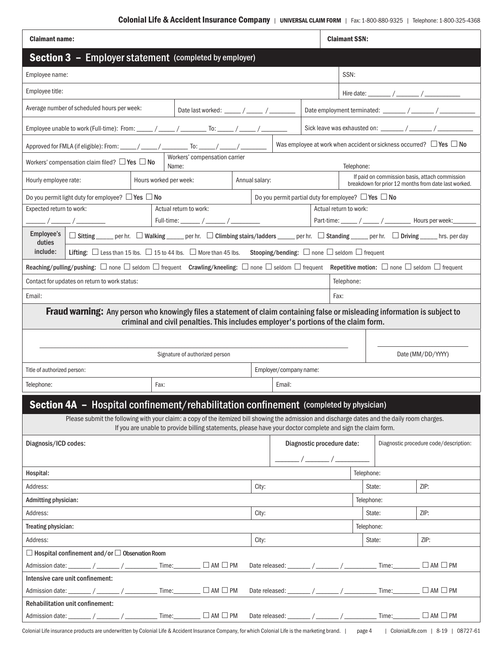| <b>Claimant name:</b>                                                                                                                                                                                                                                        | <b>Claimant SSN:</b>                                                                                                                          |  |  |  |  |  |  |  |  |
|--------------------------------------------------------------------------------------------------------------------------------------------------------------------------------------------------------------------------------------------------------------|-----------------------------------------------------------------------------------------------------------------------------------------------|--|--|--|--|--|--|--|--|
| <b>Section 3 - Employer statement (completed by employer)</b>                                                                                                                                                                                                |                                                                                                                                               |  |  |  |  |  |  |  |  |
| Employee name:                                                                                                                                                                                                                                               | SSN:                                                                                                                                          |  |  |  |  |  |  |  |  |
| Employee title:                                                                                                                                                                                                                                              |                                                                                                                                               |  |  |  |  |  |  |  |  |
| Average number of scheduled hours per week:<br>Date last worked: _____ / _____ / ________                                                                                                                                                                    |                                                                                                                                               |  |  |  |  |  |  |  |  |
| Sick leave was exhausted on: ________ / _______ / _______<br>Employee unable to work (Full-time): From: _____ / _____ / _______ To: _____ / _____ / ___                                                                                                      |                                                                                                                                               |  |  |  |  |  |  |  |  |
| Was employee at work when accident or sickness occurred? $\Box$ Yes $\Box$ No<br>Approved for FMLA (if eligible): From: _____/ _____/ ________ To: _____/ _____/ ________                                                                                    |                                                                                                                                               |  |  |  |  |  |  |  |  |
| Workers' compensation carrier<br>Workers' compensation claim filed? $\Box$ Yes $\Box$ No<br>Name:                                                                                                                                                            | Telephone:                                                                                                                                    |  |  |  |  |  |  |  |  |
| If paid on commission basis, attach commission<br>Hours worked per week:<br>Hourly employee rate:<br>Annual salary:<br>breakdown for prior 12 months from date last worked.                                                                                  |                                                                                                                                               |  |  |  |  |  |  |  |  |
| Do you permit partial duty for employee? $\Box$ Yes $\Box$ No<br>Do you permit light duty for employee? $\Box$ Yes $\Box$ No                                                                                                                                 |                                                                                                                                               |  |  |  |  |  |  |  |  |
| Expected return to work:<br>Actual return to work:                                                                                                                                                                                                           | Actual return to work:                                                                                                                        |  |  |  |  |  |  |  |  |
| Part-time: _____ / _____ / _______ Hours per week: _______<br>Full-time: ______ / ______ / __________ /                                                                                                                                                      |                                                                                                                                               |  |  |  |  |  |  |  |  |
| Employee's<br>duties                                                                                                                                                                                                                                         | □ Sitting _____ per hr. □ Walking _____ per hr. □ Climbing stairs/ladders _____ per hr. □ Standing _____ per hr. □ Driving _____ hrs. per day |  |  |  |  |  |  |  |  |
| Lifting: □ Less than 15 lbs. □ 15 to 44 lbs. □ More than 45 lbs. Stooping/bending: □ none □ seldom □ frequent<br>include:                                                                                                                                    |                                                                                                                                               |  |  |  |  |  |  |  |  |
| Reaching/pulling/pushing: $\Box$ none $\Box$ seldom $\Box$ frequent Crawling/kneeling: $\Box$ none $\Box$ seldom $\Box$ frequent Repetitive motion: $\Box$ none $\Box$ seldom $\Box$ frequent                                                                |                                                                                                                                               |  |  |  |  |  |  |  |  |
| Contact for updates on return to work status:                                                                                                                                                                                                                | Telephone:                                                                                                                                    |  |  |  |  |  |  |  |  |
| Email:                                                                                                                                                                                                                                                       | Fax:                                                                                                                                          |  |  |  |  |  |  |  |  |
| <b>Fraud warning:</b> Any person who knowingly files a statement of claim containing false or misleading information is subject to<br>criminal and civil penalties. This includes employer's portions of the claim form.                                     |                                                                                                                                               |  |  |  |  |  |  |  |  |
|                                                                                                                                                                                                                                                              |                                                                                                                                               |  |  |  |  |  |  |  |  |
| Signature of authorized person                                                                                                                                                                                                                               | Date (MM/DD/YYYY)                                                                                                                             |  |  |  |  |  |  |  |  |
| Title of authorized person:                                                                                                                                                                                                                                  | Employer/company name:                                                                                                                        |  |  |  |  |  |  |  |  |
| Telephone:<br>Fax:                                                                                                                                                                                                                                           | Email:                                                                                                                                        |  |  |  |  |  |  |  |  |
| Section 4A - Hospital confinement/rehabilitation confinement (completed by physician)                                                                                                                                                                        |                                                                                                                                               |  |  |  |  |  |  |  |  |
| Please submit the following with your claim: a copy of the itemized bill showing the admission and discharge dates and the daily room charges.<br>If you are unable to provide billing statements, please have your doctor complete and sign the claim form. |                                                                                                                                               |  |  |  |  |  |  |  |  |
| Diagnosis/ICD codes:                                                                                                                                                                                                                                         | Diagnostic procedure date:<br>Diagnostic procedure code/description:                                                                          |  |  |  |  |  |  |  |  |
|                                                                                                                                                                                                                                                              | $\frac{1}{\sqrt{2}}$                                                                                                                          |  |  |  |  |  |  |  |  |
| Hospital:                                                                                                                                                                                                                                                    | Telephone:                                                                                                                                    |  |  |  |  |  |  |  |  |
| Address:<br>City:                                                                                                                                                                                                                                            | ZIP:<br>State:                                                                                                                                |  |  |  |  |  |  |  |  |
| Admitting physician:                                                                                                                                                                                                                                         | Telephone:                                                                                                                                    |  |  |  |  |  |  |  |  |
| Address:<br>City:                                                                                                                                                                                                                                            | ZIP:<br>State:                                                                                                                                |  |  |  |  |  |  |  |  |
| Treating physician:                                                                                                                                                                                                                                          | Telephone:                                                                                                                                    |  |  |  |  |  |  |  |  |
| Address:<br>City:                                                                                                                                                                                                                                            | State:<br>ZIP:                                                                                                                                |  |  |  |  |  |  |  |  |
| $\Box$ Hospital confinement and/or $\Box$ Observation Room                                                                                                                                                                                                   |                                                                                                                                               |  |  |  |  |  |  |  |  |
| Admission date: _______ / _______ / ____________ Time: ________ □ AM □ PM                                                                                                                                                                                    |                                                                                                                                               |  |  |  |  |  |  |  |  |
|                                                                                                                                                                                                                                                              | $\Box$ AM $\Box$ PM                                                                                                                           |  |  |  |  |  |  |  |  |
| Intensive care unit confinement:                                                                                                                                                                                                                             |                                                                                                                                               |  |  |  |  |  |  |  |  |
| $\mathsf{Admission\, date:}\ \_\_\_\_/\ \_\_\_\_\_ \ \ /\ \_\_\_\_\_ \ \ \mathsf{Time:}\ \_\_\_\_\_ \ \Box\ \mathsf{AM}\ \Box\ \mathsf{PM}$                                                                                                                  | Date released: _______ / _______ / _______________ Time: ________ $\Box$ AM $\Box$ PM                                                         |  |  |  |  |  |  |  |  |
| Rehabilitation unit confinement:<br>$\mathsf{Admission\,\, date:}\ \_\_\_\_\_/\ \_\_\_\_\_ \ \mathsf{Time:}\ \_\_\_\_\_ \ \Box\ \mathsf{AM}\ \Box\ \mathsf{PM}$                                                                                              | Date released: ________ / _______ / ______________ Time: _________ $\Box$ AM $\Box$ PM                                                        |  |  |  |  |  |  |  |  |

Colonial Life insurance products are underwritten by Colonial Life & Accident Insurance Company, for which Colonial Life is the marketing brand. | page 4 | ColonialLife.com | 8-19 | 08727-61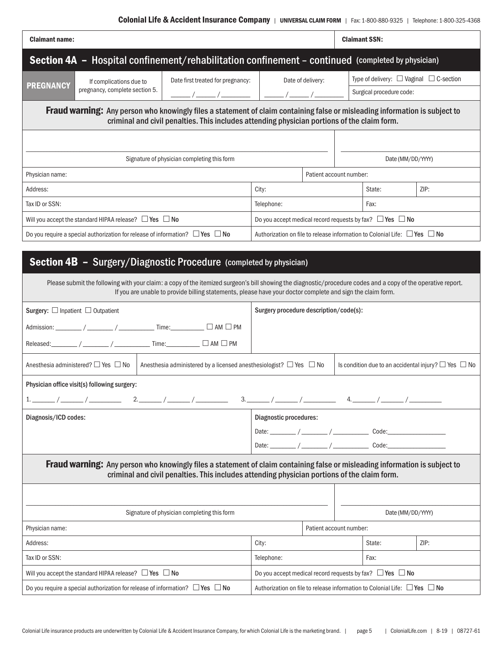| <b>Claimant name:</b>                                                                                                                                                                                                             |                                             |                                   |                                                                                     |  |                   | <b>Claimant SSN:</b>                              |  |  |  |  |  |
|-----------------------------------------------------------------------------------------------------------------------------------------------------------------------------------------------------------------------------------|---------------------------------------------|-----------------------------------|-------------------------------------------------------------------------------------|--|-------------------|---------------------------------------------------|--|--|--|--|--|
| <b>Section 4A - Hospital confinement/rehabilitation confinement - continued (completed by physician)</b>                                                                                                                          |                                             |                                   |                                                                                     |  |                   |                                                   |  |  |  |  |  |
| <b>PREGNANCY</b>                                                                                                                                                                                                                  | If complications due to                     | Date first treated for pregnancy: | Date of delivery:                                                                   |  |                   | Type of delivery: $\Box$ Vaginal $\Box$ C-section |  |  |  |  |  |
|                                                                                                                                                                                                                                   | pregnancy, complete section 5.              |                                   |                                                                                     |  |                   | Surgical procedure code:                          |  |  |  |  |  |
| <b>Fraud warning:</b> Any person who knowingly files a statement of claim containing false or misleading information is subject to<br>criminal and civil penalties. This includes attending physician portions of the claim form. |                                             |                                   |                                                                                     |  |                   |                                                   |  |  |  |  |  |
|                                                                                                                                                                                                                                   |                                             |                                   |                                                                                     |  |                   |                                                   |  |  |  |  |  |
|                                                                                                                                                                                                                                   | Signature of physician completing this form |                                   |                                                                                     |  | Date (MM/DD/YYYY) |                                                   |  |  |  |  |  |
| Physician name:                                                                                                                                                                                                                   |                                             | Patient account number:           |                                                                                     |  |                   |                                                   |  |  |  |  |  |
| Address:                                                                                                                                                                                                                          |                                             |                                   | City:                                                                               |  | State:            | ZIP:                                              |  |  |  |  |  |
| Tax ID or SSN:                                                                                                                                                                                                                    |                                             |                                   | Telephone:<br>Fax:                                                                  |  |                   |                                                   |  |  |  |  |  |
| Will you accept the standard HIPAA release? $\Box$ Yes $\Box$ No                                                                                                                                                                  |                                             |                                   | Do you accept medical record requests by fax? $\Box$ Yes $\Box$ No                  |  |                   |                                                   |  |  |  |  |  |
| Do you require a special authorization for release of information? $\Box$ Yes $\Box$ No                                                                                                                                           |                                             |                                   | Authorization on file to release information to Colonial Life: $\Box$ Yes $\Box$ No |  |                   |                                                   |  |  |  |  |  |

## Section 4B - Surgery/Diagnostic Procedure (completed by physician)

| Please submit the following with your claim: a copy of the itemized surgeon's bill showing the diagnostic/procedure codes and a copy of the operative report.<br>If you are unable to provide billing statements, please have your doctor complete and sign the claim form. |                                                                                     |  |                                                                      |  |  |  |  |  |
|-----------------------------------------------------------------------------------------------------------------------------------------------------------------------------------------------------------------------------------------------------------------------------|-------------------------------------------------------------------------------------|--|----------------------------------------------------------------------|--|--|--|--|--|
| Surgery: $\Box$ Inpatient $\Box$ Outpatient                                                                                                                                                                                                                                 | Surgery procedure description/code(s):                                              |  |                                                                      |  |  |  |  |  |
| Admission: ________ / _______ / _____________ Time: _________ □ AM □ PM                                                                                                                                                                                                     |                                                                                     |  |                                                                      |  |  |  |  |  |
| Released: _______ / _______ / ______________ Time: _________ □ AM □ PM                                                                                                                                                                                                      |                                                                                     |  |                                                                      |  |  |  |  |  |
| Anesthesia administered? $\Box$ Yes $\Box$ No<br>Anesthesia administered by a licensed anesthesiologist? $\Box$ Yes $\Box$ No                                                                                                                                               |                                                                                     |  | Is condition due to an accidental injury? $\square$ Yes $\square$ No |  |  |  |  |  |
| Physician office visit(s) following surgery:                                                                                                                                                                                                                                |                                                                                     |  |                                                                      |  |  |  |  |  |
|                                                                                                                                                                                                                                                                             |                                                                                     |  |                                                                      |  |  |  |  |  |
| Diagnosis/ICD codes:                                                                                                                                                                                                                                                        | Diagnostic procedures:                                                              |  |                                                                      |  |  |  |  |  |
|                                                                                                                                                                                                                                                                             | Date: $\frac{1}{2}$ / $\frac{1}{2}$ / $\frac{1}{2}$ Code: $\frac{1}{2}$ Code:       |  |                                                                      |  |  |  |  |  |
|                                                                                                                                                                                                                                                                             | Date: $\frac{1}{2}$ / $\frac{1}{2}$ / $\frac{1}{2}$ Code: Code: $\frac{1}{2}$       |  |                                                                      |  |  |  |  |  |
| <b>Fraud warning:</b> Any person who knowingly files a statement of claim containing false or misleading information is subject to<br>criminal and civil penalties. This includes attending physician portions of the claim form.                                           |                                                                                     |  |                                                                      |  |  |  |  |  |
|                                                                                                                                                                                                                                                                             |                                                                                     |  |                                                                      |  |  |  |  |  |
| Signature of physician completing this form                                                                                                                                                                                                                                 | Date (MM/DD/YYYY)                                                                   |  |                                                                      |  |  |  |  |  |
| Physician name:                                                                                                                                                                                                                                                             |                                                                                     |  | Patient account number:                                              |  |  |  |  |  |
| Address:                                                                                                                                                                                                                                                                    | State:<br>ZIP:<br>City:                                                             |  |                                                                      |  |  |  |  |  |
| Tax ID or SSN:                                                                                                                                                                                                                                                              | Telephone:<br>Fax:                                                                  |  |                                                                      |  |  |  |  |  |
| Will you accept the standard HIPAA release? $\Box$ Yes $\Box$ No                                                                                                                                                                                                            | Do you accept medical record requests by fax? $\Box$ Yes $\Box$ No                  |  |                                                                      |  |  |  |  |  |
| Do you require a special authorization for release of information? $\Box$ Yes $\Box$ No                                                                                                                                                                                     | Authorization on file to release information to Colonial Life: $\Box$ Yes $\Box$ No |  |                                                                      |  |  |  |  |  |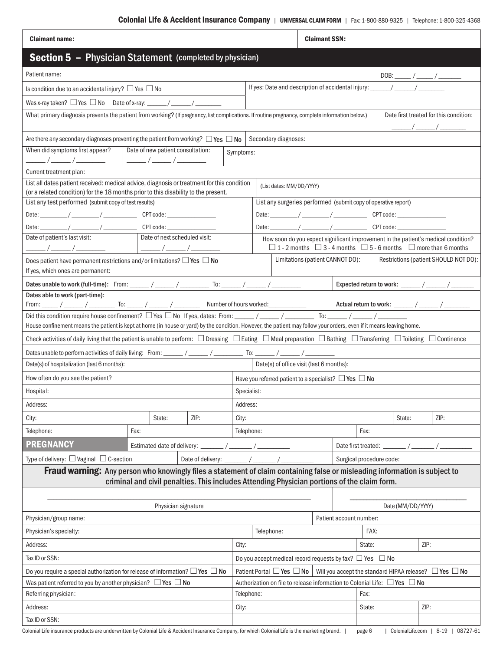| <b>Section 5 - Physician Statement (completed by physician)</b><br>Patient name:<br>Is condition due to an accidental injury? $\Box$ Yes $\Box$ No<br>What primary diagnosis prevents the patient from working? (If pregnancy, list complications. If routine pregnancy, complete information below.)<br>Date first treated for this condition:<br>Are there any secondary diagnoses preventing the patient from working? $\Box$ Yes $\Box$ No<br>Secondary diagnoses:<br>When did symptoms first appear?<br>Date of new patient consultation:<br>Symptoms:<br>Current treatment plan:<br>List all dates patient received: medical advice, diagnosis or treatment for this condition<br>(List dates: MM/DD/YYYY)<br>(or a related condition) for the 18 months prior to this disability to the present.<br>List any test performed (submit copy of test results)<br>List any surgeries performed (submit copy of operative report)<br>Date of next scheduled visit:<br>Date of patient's last visit:<br>How soon do you expect significant improvement in the patient's medical condition?<br>$\Box$ 1 - 2 months $\Box$ 3 - 4 months $\Box$ 5 - 6 months $\Box$ more than 6 months<br>Limitations (patient CANNOT DO):<br>Restrictions (patient SHOULD NOT DO):<br>Does patient have permanent restrictions and/or limitations? $\Box$ Yes $\Box$ No<br>If yes, which ones are permanent:<br>Dates unable to work (full-time): From: ______/ ______/ ________ To: ______/ ______/ ______________<br>Expected return to work: _______ / ______ / ______<br>Dates able to work (part-time):<br>House confinement means the patient is kept at home (in house or yard) by the condition. However, the patient may follow your orders, even if it means leaving home.<br>Check activities of daily living that the patient is unable to perform: $\Box$ Dressing $\Box$ Eating $\Box$ Meal preparation $\Box$ Bathing $\Box$ Transferring $\Box$ Toileting $\Box$ Continence<br>Date(s) of office visit (last 6 months):<br>Date(s) of hospitalization (last 6 months):<br>How often do you see the patient?<br>Have you referred patient to a specialist? $\Box$ Yes $\Box$ No<br>Specialist:<br>Hospital:<br>Address:<br>Address:<br>ZIP:<br>ZIP:<br>City:<br>City:<br>State:<br>State:<br>Telephone:<br>Telephone:<br>Fax:<br>Fax:<br><b>PREGNANCY</b><br>Estimated date of delivery: ________ / _______ / ________<br>Date first treated: ________ / ________ /<br>Type of delivery: $\Box$ Vaginal $\Box$ C-section<br>Surgical procedure code:<br>Fraud warning: Any person who knowingly files a statement of claim containing false or misleading information is subject to<br>criminal and civil penalties. This includes Attending Physician portions of the claim form.<br>Date (MM/DD/YYYY)<br>Physician signature<br>Physician/group name:<br>Patient account number:<br>Telephone:<br>FAX:<br>Physician's specialty:<br>ZIP:<br>Address:<br>City:<br>State:<br>Tax ID or SSN:<br>Do you accept medical record requests by fax? $\Box$ Yes $\Box$ No<br>Do you require a special authorization for release of information? $\Box$ Yes $\Box$ No<br>Patient Portal $\Box$ Yes $\Box$ No<br>Will you accept the standard HIPAA release? $\Box$ Yes $\Box$ No<br>Was patient referred to you by another physician? $\Box$ Yes $\Box$ No<br>Authorization on file to release information to Colonial Life: $\Box$ Yes $\Box$ No<br>Referring physician:<br>Telephone:<br>Fax:<br>ZIP:<br>Address:<br>City:<br>State:<br>Tax ID or SSN: | <b>Claimant name:</b> |  |  |  |  |  |  |  | <b>Claimant SSN:</b> |  |  |  |  |  |
|----------------------------------------------------------------------------------------------------------------------------------------------------------------------------------------------------------------------------------------------------------------------------------------------------------------------------------------------------------------------------------------------------------------------------------------------------------------------------------------------------------------------------------------------------------------------------------------------------------------------------------------------------------------------------------------------------------------------------------------------------------------------------------------------------------------------------------------------------------------------------------------------------------------------------------------------------------------------------------------------------------------------------------------------------------------------------------------------------------------------------------------------------------------------------------------------------------------------------------------------------------------------------------------------------------------------------------------------------------------------------------------------------------------------------------------------------------------------------------------------------------------------------------------------------------------------------------------------------------------------------------------------------------------------------------------------------------------------------------------------------------------------------------------------------------------------------------------------------------------------------------------------------------------------------------------------------------------------------------------------------------------------------------------------------------------------------------------------------------------------------------------------------------------------------------------------------------------------------------------------------------------------------------------------------------------------------------------------------------------------------------------------------------------------------------------------------------------------------------------------------------------------------------------------------------------------------------------------------------------------------------------------------------------------------------------------------------------------------------------------------------------------------------------------------------------------------------------------------------------------------------------------------------------------------------------------------------------------------------------------------------------------------------------------------------------------------------------------------------------------------------------------------------------------------------------------------------------------------------------------------------------------------------------------------------------------------------------------------------------------------------------------------------------------------------------------------------------------------------------------------------------------------------------------|-----------------------|--|--|--|--|--|--|--|----------------------|--|--|--|--|--|
|                                                                                                                                                                                                                                                                                                                                                                                                                                                                                                                                                                                                                                                                                                                                                                                                                                                                                                                                                                                                                                                                                                                                                                                                                                                                                                                                                                                                                                                                                                                                                                                                                                                                                                                                                                                                                                                                                                                                                                                                                                                                                                                                                                                                                                                                                                                                                                                                                                                                                                                                                                                                                                                                                                                                                                                                                                                                                                                                                                                                                                                                                                                                                                                                                                                                                                                                                                                                                                                                                                                                              |                       |  |  |  |  |  |  |  |                      |  |  |  |  |  |
|                                                                                                                                                                                                                                                                                                                                                                                                                                                                                                                                                                                                                                                                                                                                                                                                                                                                                                                                                                                                                                                                                                                                                                                                                                                                                                                                                                                                                                                                                                                                                                                                                                                                                                                                                                                                                                                                                                                                                                                                                                                                                                                                                                                                                                                                                                                                                                                                                                                                                                                                                                                                                                                                                                                                                                                                                                                                                                                                                                                                                                                                                                                                                                                                                                                                                                                                                                                                                                                                                                                                              |                       |  |  |  |  |  |  |  |                      |  |  |  |  |  |
|                                                                                                                                                                                                                                                                                                                                                                                                                                                                                                                                                                                                                                                                                                                                                                                                                                                                                                                                                                                                                                                                                                                                                                                                                                                                                                                                                                                                                                                                                                                                                                                                                                                                                                                                                                                                                                                                                                                                                                                                                                                                                                                                                                                                                                                                                                                                                                                                                                                                                                                                                                                                                                                                                                                                                                                                                                                                                                                                                                                                                                                                                                                                                                                                                                                                                                                                                                                                                                                                                                                                              |                       |  |  |  |  |  |  |  |                      |  |  |  |  |  |
|                                                                                                                                                                                                                                                                                                                                                                                                                                                                                                                                                                                                                                                                                                                                                                                                                                                                                                                                                                                                                                                                                                                                                                                                                                                                                                                                                                                                                                                                                                                                                                                                                                                                                                                                                                                                                                                                                                                                                                                                                                                                                                                                                                                                                                                                                                                                                                                                                                                                                                                                                                                                                                                                                                                                                                                                                                                                                                                                                                                                                                                                                                                                                                                                                                                                                                                                                                                                                                                                                                                                              |                       |  |  |  |  |  |  |  |                      |  |  |  |  |  |
|                                                                                                                                                                                                                                                                                                                                                                                                                                                                                                                                                                                                                                                                                                                                                                                                                                                                                                                                                                                                                                                                                                                                                                                                                                                                                                                                                                                                                                                                                                                                                                                                                                                                                                                                                                                                                                                                                                                                                                                                                                                                                                                                                                                                                                                                                                                                                                                                                                                                                                                                                                                                                                                                                                                                                                                                                                                                                                                                                                                                                                                                                                                                                                                                                                                                                                                                                                                                                                                                                                                                              |                       |  |  |  |  |  |  |  |                      |  |  |  |  |  |
|                                                                                                                                                                                                                                                                                                                                                                                                                                                                                                                                                                                                                                                                                                                                                                                                                                                                                                                                                                                                                                                                                                                                                                                                                                                                                                                                                                                                                                                                                                                                                                                                                                                                                                                                                                                                                                                                                                                                                                                                                                                                                                                                                                                                                                                                                                                                                                                                                                                                                                                                                                                                                                                                                                                                                                                                                                                                                                                                                                                                                                                                                                                                                                                                                                                                                                                                                                                                                                                                                                                                              |                       |  |  |  |  |  |  |  |                      |  |  |  |  |  |
|                                                                                                                                                                                                                                                                                                                                                                                                                                                                                                                                                                                                                                                                                                                                                                                                                                                                                                                                                                                                                                                                                                                                                                                                                                                                                                                                                                                                                                                                                                                                                                                                                                                                                                                                                                                                                                                                                                                                                                                                                                                                                                                                                                                                                                                                                                                                                                                                                                                                                                                                                                                                                                                                                                                                                                                                                                                                                                                                                                                                                                                                                                                                                                                                                                                                                                                                                                                                                                                                                                                                              |                       |  |  |  |  |  |  |  |                      |  |  |  |  |  |
|                                                                                                                                                                                                                                                                                                                                                                                                                                                                                                                                                                                                                                                                                                                                                                                                                                                                                                                                                                                                                                                                                                                                                                                                                                                                                                                                                                                                                                                                                                                                                                                                                                                                                                                                                                                                                                                                                                                                                                                                                                                                                                                                                                                                                                                                                                                                                                                                                                                                                                                                                                                                                                                                                                                                                                                                                                                                                                                                                                                                                                                                                                                                                                                                                                                                                                                                                                                                                                                                                                                                              |                       |  |  |  |  |  |  |  |                      |  |  |  |  |  |
|                                                                                                                                                                                                                                                                                                                                                                                                                                                                                                                                                                                                                                                                                                                                                                                                                                                                                                                                                                                                                                                                                                                                                                                                                                                                                                                                                                                                                                                                                                                                                                                                                                                                                                                                                                                                                                                                                                                                                                                                                                                                                                                                                                                                                                                                                                                                                                                                                                                                                                                                                                                                                                                                                                                                                                                                                                                                                                                                                                                                                                                                                                                                                                                                                                                                                                                                                                                                                                                                                                                                              |                       |  |  |  |  |  |  |  |                      |  |  |  |  |  |
|                                                                                                                                                                                                                                                                                                                                                                                                                                                                                                                                                                                                                                                                                                                                                                                                                                                                                                                                                                                                                                                                                                                                                                                                                                                                                                                                                                                                                                                                                                                                                                                                                                                                                                                                                                                                                                                                                                                                                                                                                                                                                                                                                                                                                                                                                                                                                                                                                                                                                                                                                                                                                                                                                                                                                                                                                                                                                                                                                                                                                                                                                                                                                                                                                                                                                                                                                                                                                                                                                                                                              |                       |  |  |  |  |  |  |  |                      |  |  |  |  |  |
|                                                                                                                                                                                                                                                                                                                                                                                                                                                                                                                                                                                                                                                                                                                                                                                                                                                                                                                                                                                                                                                                                                                                                                                                                                                                                                                                                                                                                                                                                                                                                                                                                                                                                                                                                                                                                                                                                                                                                                                                                                                                                                                                                                                                                                                                                                                                                                                                                                                                                                                                                                                                                                                                                                                                                                                                                                                                                                                                                                                                                                                                                                                                                                                                                                                                                                                                                                                                                                                                                                                                              |                       |  |  |  |  |  |  |  |                      |  |  |  |  |  |
|                                                                                                                                                                                                                                                                                                                                                                                                                                                                                                                                                                                                                                                                                                                                                                                                                                                                                                                                                                                                                                                                                                                                                                                                                                                                                                                                                                                                                                                                                                                                                                                                                                                                                                                                                                                                                                                                                                                                                                                                                                                                                                                                                                                                                                                                                                                                                                                                                                                                                                                                                                                                                                                                                                                                                                                                                                                                                                                                                                                                                                                                                                                                                                                                                                                                                                                                                                                                                                                                                                                                              |                       |  |  |  |  |  |  |  |                      |  |  |  |  |  |
|                                                                                                                                                                                                                                                                                                                                                                                                                                                                                                                                                                                                                                                                                                                                                                                                                                                                                                                                                                                                                                                                                                                                                                                                                                                                                                                                                                                                                                                                                                                                                                                                                                                                                                                                                                                                                                                                                                                                                                                                                                                                                                                                                                                                                                                                                                                                                                                                                                                                                                                                                                                                                                                                                                                                                                                                                                                                                                                                                                                                                                                                                                                                                                                                                                                                                                                                                                                                                                                                                                                                              |                       |  |  |  |  |  |  |  |                      |  |  |  |  |  |
|                                                                                                                                                                                                                                                                                                                                                                                                                                                                                                                                                                                                                                                                                                                                                                                                                                                                                                                                                                                                                                                                                                                                                                                                                                                                                                                                                                                                                                                                                                                                                                                                                                                                                                                                                                                                                                                                                                                                                                                                                                                                                                                                                                                                                                                                                                                                                                                                                                                                                                                                                                                                                                                                                                                                                                                                                                                                                                                                                                                                                                                                                                                                                                                                                                                                                                                                                                                                                                                                                                                                              |                       |  |  |  |  |  |  |  |                      |  |  |  |  |  |
|                                                                                                                                                                                                                                                                                                                                                                                                                                                                                                                                                                                                                                                                                                                                                                                                                                                                                                                                                                                                                                                                                                                                                                                                                                                                                                                                                                                                                                                                                                                                                                                                                                                                                                                                                                                                                                                                                                                                                                                                                                                                                                                                                                                                                                                                                                                                                                                                                                                                                                                                                                                                                                                                                                                                                                                                                                                                                                                                                                                                                                                                                                                                                                                                                                                                                                                                                                                                                                                                                                                                              |                       |  |  |  |  |  |  |  |                      |  |  |  |  |  |
|                                                                                                                                                                                                                                                                                                                                                                                                                                                                                                                                                                                                                                                                                                                                                                                                                                                                                                                                                                                                                                                                                                                                                                                                                                                                                                                                                                                                                                                                                                                                                                                                                                                                                                                                                                                                                                                                                                                                                                                                                                                                                                                                                                                                                                                                                                                                                                                                                                                                                                                                                                                                                                                                                                                                                                                                                                                                                                                                                                                                                                                                                                                                                                                                                                                                                                                                                                                                                                                                                                                                              |                       |  |  |  |  |  |  |  |                      |  |  |  |  |  |
|                                                                                                                                                                                                                                                                                                                                                                                                                                                                                                                                                                                                                                                                                                                                                                                                                                                                                                                                                                                                                                                                                                                                                                                                                                                                                                                                                                                                                                                                                                                                                                                                                                                                                                                                                                                                                                                                                                                                                                                                                                                                                                                                                                                                                                                                                                                                                                                                                                                                                                                                                                                                                                                                                                                                                                                                                                                                                                                                                                                                                                                                                                                                                                                                                                                                                                                                                                                                                                                                                                                                              |                       |  |  |  |  |  |  |  |                      |  |  |  |  |  |
|                                                                                                                                                                                                                                                                                                                                                                                                                                                                                                                                                                                                                                                                                                                                                                                                                                                                                                                                                                                                                                                                                                                                                                                                                                                                                                                                                                                                                                                                                                                                                                                                                                                                                                                                                                                                                                                                                                                                                                                                                                                                                                                                                                                                                                                                                                                                                                                                                                                                                                                                                                                                                                                                                                                                                                                                                                                                                                                                                                                                                                                                                                                                                                                                                                                                                                                                                                                                                                                                                                                                              |                       |  |  |  |  |  |  |  |                      |  |  |  |  |  |
|                                                                                                                                                                                                                                                                                                                                                                                                                                                                                                                                                                                                                                                                                                                                                                                                                                                                                                                                                                                                                                                                                                                                                                                                                                                                                                                                                                                                                                                                                                                                                                                                                                                                                                                                                                                                                                                                                                                                                                                                                                                                                                                                                                                                                                                                                                                                                                                                                                                                                                                                                                                                                                                                                                                                                                                                                                                                                                                                                                                                                                                                                                                                                                                                                                                                                                                                                                                                                                                                                                                                              |                       |  |  |  |  |  |  |  |                      |  |  |  |  |  |
|                                                                                                                                                                                                                                                                                                                                                                                                                                                                                                                                                                                                                                                                                                                                                                                                                                                                                                                                                                                                                                                                                                                                                                                                                                                                                                                                                                                                                                                                                                                                                                                                                                                                                                                                                                                                                                                                                                                                                                                                                                                                                                                                                                                                                                                                                                                                                                                                                                                                                                                                                                                                                                                                                                                                                                                                                                                                                                                                                                                                                                                                                                                                                                                                                                                                                                                                                                                                                                                                                                                                              |                       |  |  |  |  |  |  |  |                      |  |  |  |  |  |
|                                                                                                                                                                                                                                                                                                                                                                                                                                                                                                                                                                                                                                                                                                                                                                                                                                                                                                                                                                                                                                                                                                                                                                                                                                                                                                                                                                                                                                                                                                                                                                                                                                                                                                                                                                                                                                                                                                                                                                                                                                                                                                                                                                                                                                                                                                                                                                                                                                                                                                                                                                                                                                                                                                                                                                                                                                                                                                                                                                                                                                                                                                                                                                                                                                                                                                                                                                                                                                                                                                                                              |                       |  |  |  |  |  |  |  |                      |  |  |  |  |  |
|                                                                                                                                                                                                                                                                                                                                                                                                                                                                                                                                                                                                                                                                                                                                                                                                                                                                                                                                                                                                                                                                                                                                                                                                                                                                                                                                                                                                                                                                                                                                                                                                                                                                                                                                                                                                                                                                                                                                                                                                                                                                                                                                                                                                                                                                                                                                                                                                                                                                                                                                                                                                                                                                                                                                                                                                                                                                                                                                                                                                                                                                                                                                                                                                                                                                                                                                                                                                                                                                                                                                              |                       |  |  |  |  |  |  |  |                      |  |  |  |  |  |
|                                                                                                                                                                                                                                                                                                                                                                                                                                                                                                                                                                                                                                                                                                                                                                                                                                                                                                                                                                                                                                                                                                                                                                                                                                                                                                                                                                                                                                                                                                                                                                                                                                                                                                                                                                                                                                                                                                                                                                                                                                                                                                                                                                                                                                                                                                                                                                                                                                                                                                                                                                                                                                                                                                                                                                                                                                                                                                                                                                                                                                                                                                                                                                                                                                                                                                                                                                                                                                                                                                                                              |                       |  |  |  |  |  |  |  |                      |  |  |  |  |  |
|                                                                                                                                                                                                                                                                                                                                                                                                                                                                                                                                                                                                                                                                                                                                                                                                                                                                                                                                                                                                                                                                                                                                                                                                                                                                                                                                                                                                                                                                                                                                                                                                                                                                                                                                                                                                                                                                                                                                                                                                                                                                                                                                                                                                                                                                                                                                                                                                                                                                                                                                                                                                                                                                                                                                                                                                                                                                                                                                                                                                                                                                                                                                                                                                                                                                                                                                                                                                                                                                                                                                              |                       |  |  |  |  |  |  |  |                      |  |  |  |  |  |
|                                                                                                                                                                                                                                                                                                                                                                                                                                                                                                                                                                                                                                                                                                                                                                                                                                                                                                                                                                                                                                                                                                                                                                                                                                                                                                                                                                                                                                                                                                                                                                                                                                                                                                                                                                                                                                                                                                                                                                                                                                                                                                                                                                                                                                                                                                                                                                                                                                                                                                                                                                                                                                                                                                                                                                                                                                                                                                                                                                                                                                                                                                                                                                                                                                                                                                                                                                                                                                                                                                                                              |                       |  |  |  |  |  |  |  |                      |  |  |  |  |  |
|                                                                                                                                                                                                                                                                                                                                                                                                                                                                                                                                                                                                                                                                                                                                                                                                                                                                                                                                                                                                                                                                                                                                                                                                                                                                                                                                                                                                                                                                                                                                                                                                                                                                                                                                                                                                                                                                                                                                                                                                                                                                                                                                                                                                                                                                                                                                                                                                                                                                                                                                                                                                                                                                                                                                                                                                                                                                                                                                                                                                                                                                                                                                                                                                                                                                                                                                                                                                                                                                                                                                              |                       |  |  |  |  |  |  |  |                      |  |  |  |  |  |
|                                                                                                                                                                                                                                                                                                                                                                                                                                                                                                                                                                                                                                                                                                                                                                                                                                                                                                                                                                                                                                                                                                                                                                                                                                                                                                                                                                                                                                                                                                                                                                                                                                                                                                                                                                                                                                                                                                                                                                                                                                                                                                                                                                                                                                                                                                                                                                                                                                                                                                                                                                                                                                                                                                                                                                                                                                                                                                                                                                                                                                                                                                                                                                                                                                                                                                                                                                                                                                                                                                                                              |                       |  |  |  |  |  |  |  |                      |  |  |  |  |  |
|                                                                                                                                                                                                                                                                                                                                                                                                                                                                                                                                                                                                                                                                                                                                                                                                                                                                                                                                                                                                                                                                                                                                                                                                                                                                                                                                                                                                                                                                                                                                                                                                                                                                                                                                                                                                                                                                                                                                                                                                                                                                                                                                                                                                                                                                                                                                                                                                                                                                                                                                                                                                                                                                                                                                                                                                                                                                                                                                                                                                                                                                                                                                                                                                                                                                                                                                                                                                                                                                                                                                              |                       |  |  |  |  |  |  |  |                      |  |  |  |  |  |
|                                                                                                                                                                                                                                                                                                                                                                                                                                                                                                                                                                                                                                                                                                                                                                                                                                                                                                                                                                                                                                                                                                                                                                                                                                                                                                                                                                                                                                                                                                                                                                                                                                                                                                                                                                                                                                                                                                                                                                                                                                                                                                                                                                                                                                                                                                                                                                                                                                                                                                                                                                                                                                                                                                                                                                                                                                                                                                                                                                                                                                                                                                                                                                                                                                                                                                                                                                                                                                                                                                                                              |                       |  |  |  |  |  |  |  |                      |  |  |  |  |  |
|                                                                                                                                                                                                                                                                                                                                                                                                                                                                                                                                                                                                                                                                                                                                                                                                                                                                                                                                                                                                                                                                                                                                                                                                                                                                                                                                                                                                                                                                                                                                                                                                                                                                                                                                                                                                                                                                                                                                                                                                                                                                                                                                                                                                                                                                                                                                                                                                                                                                                                                                                                                                                                                                                                                                                                                                                                                                                                                                                                                                                                                                                                                                                                                                                                                                                                                                                                                                                                                                                                                                              |                       |  |  |  |  |  |  |  |                      |  |  |  |  |  |
|                                                                                                                                                                                                                                                                                                                                                                                                                                                                                                                                                                                                                                                                                                                                                                                                                                                                                                                                                                                                                                                                                                                                                                                                                                                                                                                                                                                                                                                                                                                                                                                                                                                                                                                                                                                                                                                                                                                                                                                                                                                                                                                                                                                                                                                                                                                                                                                                                                                                                                                                                                                                                                                                                                                                                                                                                                                                                                                                                                                                                                                                                                                                                                                                                                                                                                                                                                                                                                                                                                                                              |                       |  |  |  |  |  |  |  |                      |  |  |  |  |  |
|                                                                                                                                                                                                                                                                                                                                                                                                                                                                                                                                                                                                                                                                                                                                                                                                                                                                                                                                                                                                                                                                                                                                                                                                                                                                                                                                                                                                                                                                                                                                                                                                                                                                                                                                                                                                                                                                                                                                                                                                                                                                                                                                                                                                                                                                                                                                                                                                                                                                                                                                                                                                                                                                                                                                                                                                                                                                                                                                                                                                                                                                                                                                                                                                                                                                                                                                                                                                                                                                                                                                              |                       |  |  |  |  |  |  |  |                      |  |  |  |  |  |
|                                                                                                                                                                                                                                                                                                                                                                                                                                                                                                                                                                                                                                                                                                                                                                                                                                                                                                                                                                                                                                                                                                                                                                                                                                                                                                                                                                                                                                                                                                                                                                                                                                                                                                                                                                                                                                                                                                                                                                                                                                                                                                                                                                                                                                                                                                                                                                                                                                                                                                                                                                                                                                                                                                                                                                                                                                                                                                                                                                                                                                                                                                                                                                                                                                                                                                                                                                                                                                                                                                                                              |                       |  |  |  |  |  |  |  |                      |  |  |  |  |  |
|                                                                                                                                                                                                                                                                                                                                                                                                                                                                                                                                                                                                                                                                                                                                                                                                                                                                                                                                                                                                                                                                                                                                                                                                                                                                                                                                                                                                                                                                                                                                                                                                                                                                                                                                                                                                                                                                                                                                                                                                                                                                                                                                                                                                                                                                                                                                                                                                                                                                                                                                                                                                                                                                                                                                                                                                                                                                                                                                                                                                                                                                                                                                                                                                                                                                                                                                                                                                                                                                                                                                              |                       |  |  |  |  |  |  |  |                      |  |  |  |  |  |
|                                                                                                                                                                                                                                                                                                                                                                                                                                                                                                                                                                                                                                                                                                                                                                                                                                                                                                                                                                                                                                                                                                                                                                                                                                                                                                                                                                                                                                                                                                                                                                                                                                                                                                                                                                                                                                                                                                                                                                                                                                                                                                                                                                                                                                                                                                                                                                                                                                                                                                                                                                                                                                                                                                                                                                                                                                                                                                                                                                                                                                                                                                                                                                                                                                                                                                                                                                                                                                                                                                                                              |                       |  |  |  |  |  |  |  |                      |  |  |  |  |  |
|                                                                                                                                                                                                                                                                                                                                                                                                                                                                                                                                                                                                                                                                                                                                                                                                                                                                                                                                                                                                                                                                                                                                                                                                                                                                                                                                                                                                                                                                                                                                                                                                                                                                                                                                                                                                                                                                                                                                                                                                                                                                                                                                                                                                                                                                                                                                                                                                                                                                                                                                                                                                                                                                                                                                                                                                                                                                                                                                                                                                                                                                                                                                                                                                                                                                                                                                                                                                                                                                                                                                              |                       |  |  |  |  |  |  |  |                      |  |  |  |  |  |
|                                                                                                                                                                                                                                                                                                                                                                                                                                                                                                                                                                                                                                                                                                                                                                                                                                                                                                                                                                                                                                                                                                                                                                                                                                                                                                                                                                                                                                                                                                                                                                                                                                                                                                                                                                                                                                                                                                                                                                                                                                                                                                                                                                                                                                                                                                                                                                                                                                                                                                                                                                                                                                                                                                                                                                                                                                                                                                                                                                                                                                                                                                                                                                                                                                                                                                                                                                                                                                                                                                                                              |                       |  |  |  |  |  |  |  |                      |  |  |  |  |  |
|                                                                                                                                                                                                                                                                                                                                                                                                                                                                                                                                                                                                                                                                                                                                                                                                                                                                                                                                                                                                                                                                                                                                                                                                                                                                                                                                                                                                                                                                                                                                                                                                                                                                                                                                                                                                                                                                                                                                                                                                                                                                                                                                                                                                                                                                                                                                                                                                                                                                                                                                                                                                                                                                                                                                                                                                                                                                                                                                                                                                                                                                                                                                                                                                                                                                                                                                                                                                                                                                                                                                              |                       |  |  |  |  |  |  |  |                      |  |  |  |  |  |
|                                                                                                                                                                                                                                                                                                                                                                                                                                                                                                                                                                                                                                                                                                                                                                                                                                                                                                                                                                                                                                                                                                                                                                                                                                                                                                                                                                                                                                                                                                                                                                                                                                                                                                                                                                                                                                                                                                                                                                                                                                                                                                                                                                                                                                                                                                                                                                                                                                                                                                                                                                                                                                                                                                                                                                                                                                                                                                                                                                                                                                                                                                                                                                                                                                                                                                                                                                                                                                                                                                                                              |                       |  |  |  |  |  |  |  |                      |  |  |  |  |  |
|                                                                                                                                                                                                                                                                                                                                                                                                                                                                                                                                                                                                                                                                                                                                                                                                                                                                                                                                                                                                                                                                                                                                                                                                                                                                                                                                                                                                                                                                                                                                                                                                                                                                                                                                                                                                                                                                                                                                                                                                                                                                                                                                                                                                                                                                                                                                                                                                                                                                                                                                                                                                                                                                                                                                                                                                                                                                                                                                                                                                                                                                                                                                                                                                                                                                                                                                                                                                                                                                                                                                              |                       |  |  |  |  |  |  |  |                      |  |  |  |  |  |
|                                                                                                                                                                                                                                                                                                                                                                                                                                                                                                                                                                                                                                                                                                                                                                                                                                                                                                                                                                                                                                                                                                                                                                                                                                                                                                                                                                                                                                                                                                                                                                                                                                                                                                                                                                                                                                                                                                                                                                                                                                                                                                                                                                                                                                                                                                                                                                                                                                                                                                                                                                                                                                                                                                                                                                                                                                                                                                                                                                                                                                                                                                                                                                                                                                                                                                                                                                                                                                                                                                                                              |                       |  |  |  |  |  |  |  |                      |  |  |  |  |  |
|                                                                                                                                                                                                                                                                                                                                                                                                                                                                                                                                                                                                                                                                                                                                                                                                                                                                                                                                                                                                                                                                                                                                                                                                                                                                                                                                                                                                                                                                                                                                                                                                                                                                                                                                                                                                                                                                                                                                                                                                                                                                                                                                                                                                                                                                                                                                                                                                                                                                                                                                                                                                                                                                                                                                                                                                                                                                                                                                                                                                                                                                                                                                                                                                                                                                                                                                                                                                                                                                                                                                              |                       |  |  |  |  |  |  |  |                      |  |  |  |  |  |
|                                                                                                                                                                                                                                                                                                                                                                                                                                                                                                                                                                                                                                                                                                                                                                                                                                                                                                                                                                                                                                                                                                                                                                                                                                                                                                                                                                                                                                                                                                                                                                                                                                                                                                                                                                                                                                                                                                                                                                                                                                                                                                                                                                                                                                                                                                                                                                                                                                                                                                                                                                                                                                                                                                                                                                                                                                                                                                                                                                                                                                                                                                                                                                                                                                                                                                                                                                                                                                                                                                                                              |                       |  |  |  |  |  |  |  |                      |  |  |  |  |  |